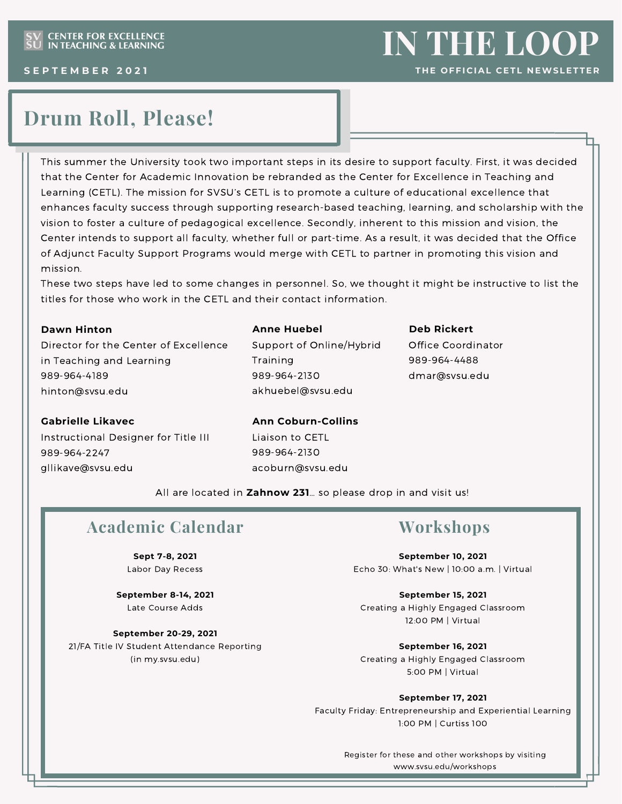# **Drum Roll, Please!**

This summer the University took two important steps in its desire to support faculty. First, it was decided that the Center for Academic Innovation be rebranded as the Center for Excellence in Teaching and Learning (CETL). The mission for SVSU's CETL is to promote a culture of educational excellence that enhances faculty success through supporting research-based teaching, learning, and scholarship with the vision to foster a culture of pedagogical excellence. Secondly, inherent to this mission and vision, the Center intends to support all faculty, whether full or part-time. As a result, it was decided that the Office of Adjunct Faculty Support Programs would merge with CETL to partner in promoting this vision and mission.

These two steps have led to some changes in personnel. So, we thought it might be instructive to list the titles for those who work in the CETL and their contact information.

### **Dawn Hinton**

Director for the Center of Excellence in Teaching and Learning 989-964-4189 [hinton@svsu.edu](mailto:hinton@svsu.edu)

#### **Anne Huebel**

Support of Online/Hybrid Training 989-964-2130 akhuebel@svsu.edu

### **Deb Rickert**

Office Coordinator 989-964-4488 [dmar@svsu.edu](mailto:dmar@svsu.edu)

### **Gabrielle Likavec**

Instructional Designer for Title III 989-964-2247 [gllikave@svsu.edu](mailto:gllikave@svsu.edu)

### **Ann Coburn-Collins** Liaison to CETL 989-964-2130

[acoburn@svsu.edu](mailto:acoburn@svsu.edu)

All are located in **Zahnow 231**… so please drop in and visit us!

# **Academic Calendar**

**Sept 7-8, 2021** Labor Day Recess

**September 8-14, 2021** Late Course Adds

**September 20-29, 2021** 21/FA Title IV Student Attendance Reporting (in my.svsu.edu)

## **Workshops**

**September 10, 2021** Echo 30: What's New | 10:00 a.m. | Virtual

**September 15, 2021** Creating a Highly Engaged Classroom 12:00 PM | Virtual

**September 16, 2021** Creating a Highly Engaged Classroom 5:00 PM | Virtual

### **September 17, 2021**

Faculty Friday: Entrepreneurship and Experiential Learning 1:00 PM | Curtiss 100

> Register for these and other workshops by visiting [www.svsu.edu/workshops](http://www.svsu.edu/workshops)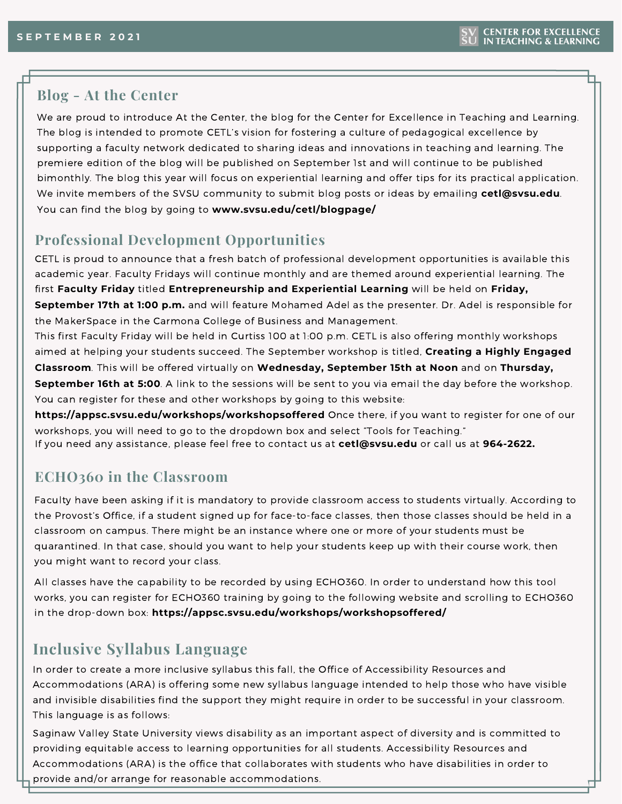### **Blog - At the Center**

We are proud to introduce At the Center, the blog for the Center for Excellence in Teaching and Learning. The blog is intended to promote CETL's vision for fostering a culture of pedagogical excellence by supporting a faculty network dedicated to sharing ideas and innovations in teaching and learning. The premiere edition of the blog will be published on September 1st and will continue to be published bimonthly. The blog this year will focus on experiential learning and offer tips for its practical application. We invite members of the SVSU community to submit blog posts or ideas by emailing **cetl@svsu.edu**. You can find the blog by going to **[www.svsu.edu/cetl/blogpage/](http://www.svsu.edu/cetl/blogpage/)**

### **Professional Development Opportunities**

CETL is proud to announce that a fresh batch of professional development opportunities is available this academic year. Faculty Fridays will continue monthly and are themed around experiential learning. The first **Faculty Friday** titled **Entrepreneurship and Experiential Learning** will be held on **Friday, September 17th at 1:00 p.m.** and will feature Mohamed Adel as the presenter. Dr. Adel is responsible for the MakerSpace in the Carmona College of Business and Management.

This first Faculty Friday will be held in Curtiss 100 at 1:00 p.m. CETL is also offering monthly workshops aimed at helping your students succeed. The September workshop is titled, **Creating a Highly Engaged Classroom**. This will be offered virtually on **Wednesday, September 15th at Noon** and on **Thursday, September 16th at 5:00**. A link to the sessions will be sent to you via email the day before the workshop. You can register for these and other workshops by going to this website:

**[https://appsc.svsu.edu/workshops/workshopsoffered](https://appsc.svsu.edu/workshops/workshopsOffered)** Once there, if you want to register for one of our workshops, you will need to go to the dropdown box and select "Tools for Teaching."

### If you need any assistance, please feel free to contact us at **[cetl@svsu.edu](mailto:cetl@svsu.edu)** or call us at **964-2622.**

### **ECHO360 in the Classroom**

Faculty have been asking if it is mandatory to provide classroom access to students virtually. According to the Provost's Office, if a student signed up for face-to-face classes, then those classes should be held in a classroom on campus. There might be an instance where one or more of your students must be quarantined. In that case, should you want to help your students keep up with their course work, then you might want to record your class.

All classes have the capability to be recorded by using ECHO360. In order to understand how this tool works, you can register for ECHO360 training by going to the following website and scrolling to ECHO360 in the drop-down box: **[https://appsc.svsu.edu/workshops/workshopsoffered/](https://appsc.svsu.edu/workshops/workshopsoffered)**

### **Inclusive Syllabus Language**

In order to create a more inclusive syllabus this fall, the Office of Accessibility Resources and Accommodations (ARA) is offering some new syllabus language intended to help those who have visible and invisible disabilities find the support they might require in order to be successful in your classroom. This language is as follows:

Saginaw Valley State University views disability as an important aspect of diversity and is committed to providing equitable access to learning opportunities for all students. Accessibility Resources and Accommodations (ARA) is the office that collaborates with students who have disabilities in order to provide and/or arrange for reasonable accommodations.